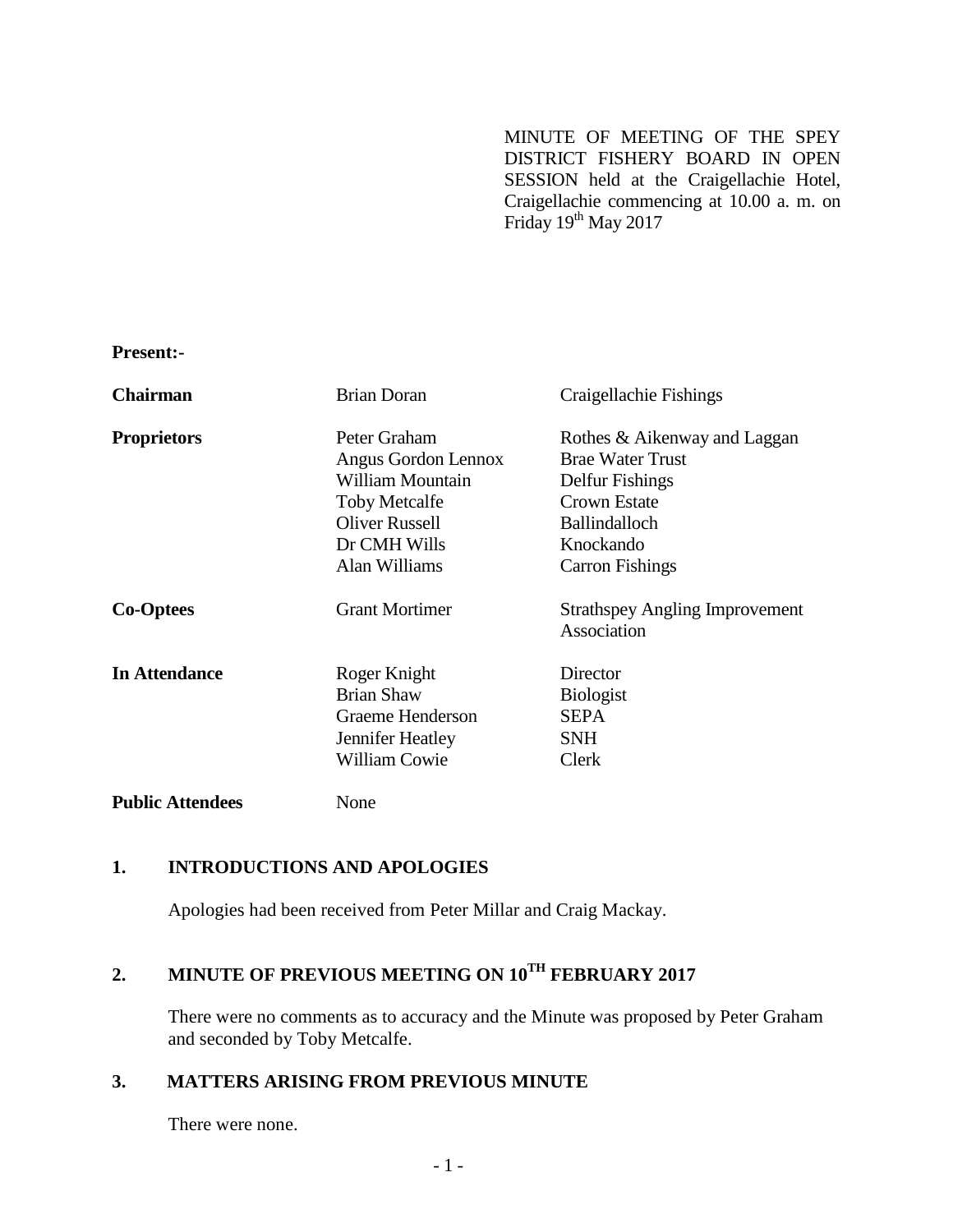MINUTE OF MEETING OF THE SPEY DISTRICT FISHERY BOARD IN OPEN SESSION held at the Craigellachie Hotel, Craigellachie commencing at 10.00 a. m. on Friday 19<sup>th</sup> May 2017

**Present:-**

| <b>Chairman</b>         | <b>Brian Doran</b>    | Craigellachie Fishings                |
|-------------------------|-----------------------|---------------------------------------|
| <b>Proprietors</b>      | Peter Graham          | Rothes & Aikenway and Laggan          |
|                         | Angus Gordon Lennox   | <b>Brae Water Trust</b>               |
|                         | William Mountain      | Delfur Fishings                       |
|                         | <b>Toby Metcalfe</b>  | <b>Crown Estate</b>                   |
|                         | <b>Oliver Russell</b> | <b>Ballindalloch</b>                  |
|                         | Dr CMH Wills          | Knockando                             |
|                         | Alan Williams         | <b>Carron Fishings</b>                |
| <b>Co-Optees</b>        | <b>Grant Mortimer</b> | <b>Strathspey Angling Improvement</b> |
|                         |                       | Association                           |
| <b>In Attendance</b>    | Roger Knight          | Director                              |
|                         | <b>Brian Shaw</b>     | <b>Biologist</b>                      |
|                         | Graeme Henderson      | <b>SEPA</b>                           |
|                         | Jennifer Heatley      | <b>SNH</b>                            |
|                         | <b>William Cowie</b>  | Clerk                                 |
| <b>Public Attendees</b> | None                  |                                       |

## **1. INTRODUCTIONS AND APOLOGIES**

Apologies had been received from Peter Millar and Craig Mackay.

# **2. MINUTE OF PREVIOUS MEETING ON 10TH FEBRUARY 2017**

There were no comments as to accuracy and the Minute was proposed by Peter Graham and seconded by Toby Metcalfe.

## **3. MATTERS ARISING FROM PREVIOUS MINUTE**

There were none.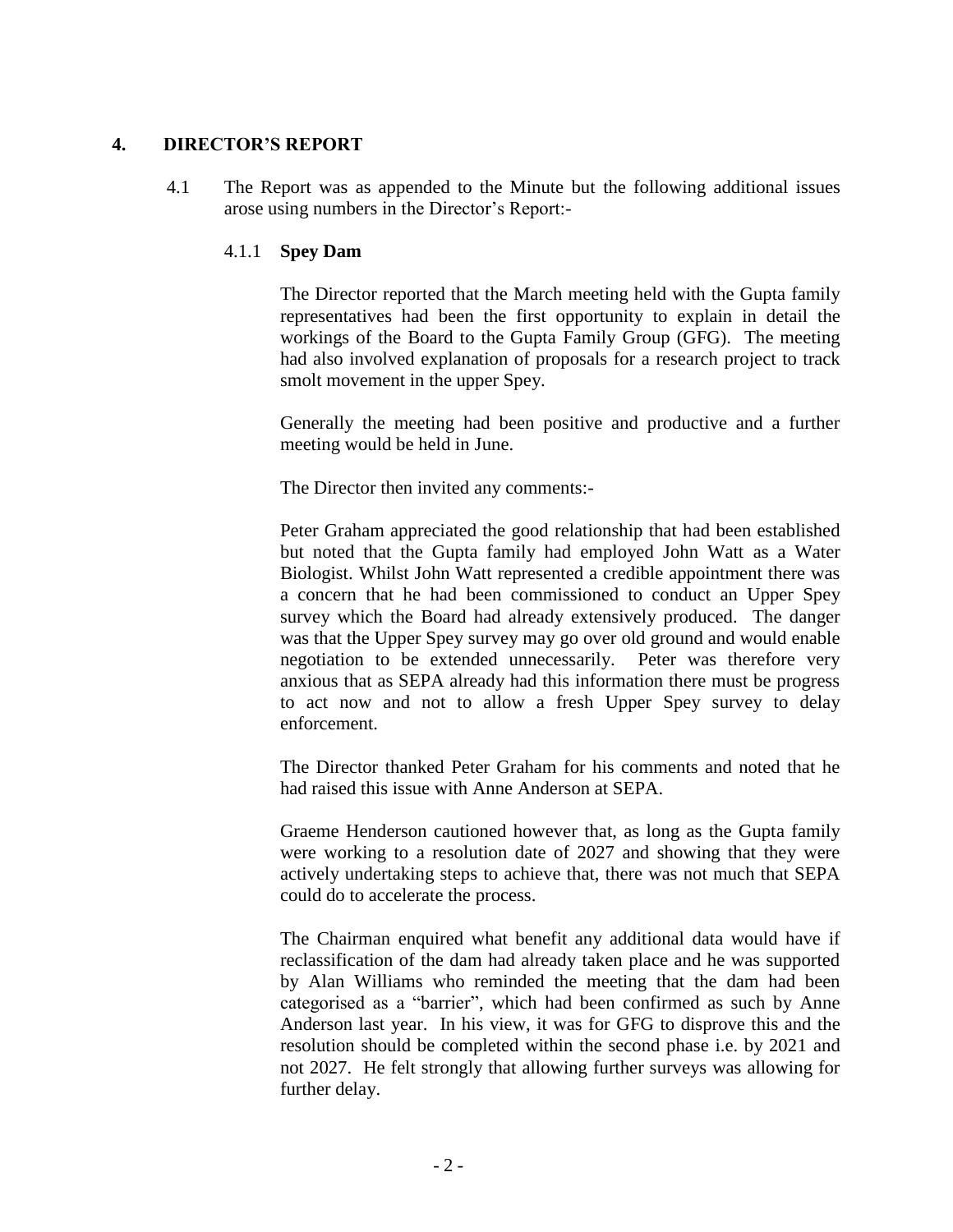### **4. DIRECTOR'S REPORT**

4.1 The Report was as appended to the Minute but the following additional issues arose using numbers in the Director's Report:-

### 4.1.1 **Spey Dam**

The Director reported that the March meeting held with the Gupta family representatives had been the first opportunity to explain in detail the workings of the Board to the Gupta Family Group (GFG). The meeting had also involved explanation of proposals for a research project to track smolt movement in the upper Spey.

Generally the meeting had been positive and productive and a further meeting would be held in June.

The Director then invited any comments:-

Peter Graham appreciated the good relationship that had been established but noted that the Gupta family had employed John Watt as a Water Biologist. Whilst John Watt represented a credible appointment there was a concern that he had been commissioned to conduct an Upper Spey survey which the Board had already extensively produced. The danger was that the Upper Spey survey may go over old ground and would enable negotiation to be extended unnecessarily. Peter was therefore very anxious that as SEPA already had this information there must be progress to act now and not to allow a fresh Upper Spey survey to delay enforcement.

The Director thanked Peter Graham for his comments and noted that he had raised this issue with Anne Anderson at SEPA.

Graeme Henderson cautioned however that, as long as the Gupta family were working to a resolution date of 2027 and showing that they were actively undertaking steps to achieve that, there was not much that SEPA could do to accelerate the process.

The Chairman enquired what benefit any additional data would have if reclassification of the dam had already taken place and he was supported by Alan Williams who reminded the meeting that the dam had been categorised as a "barrier", which had been confirmed as such by Anne Anderson last year. In his view, it was for GFG to disprove this and the resolution should be completed within the second phase i.e. by 2021 and not 2027. He felt strongly that allowing further surveys was allowing for further delay.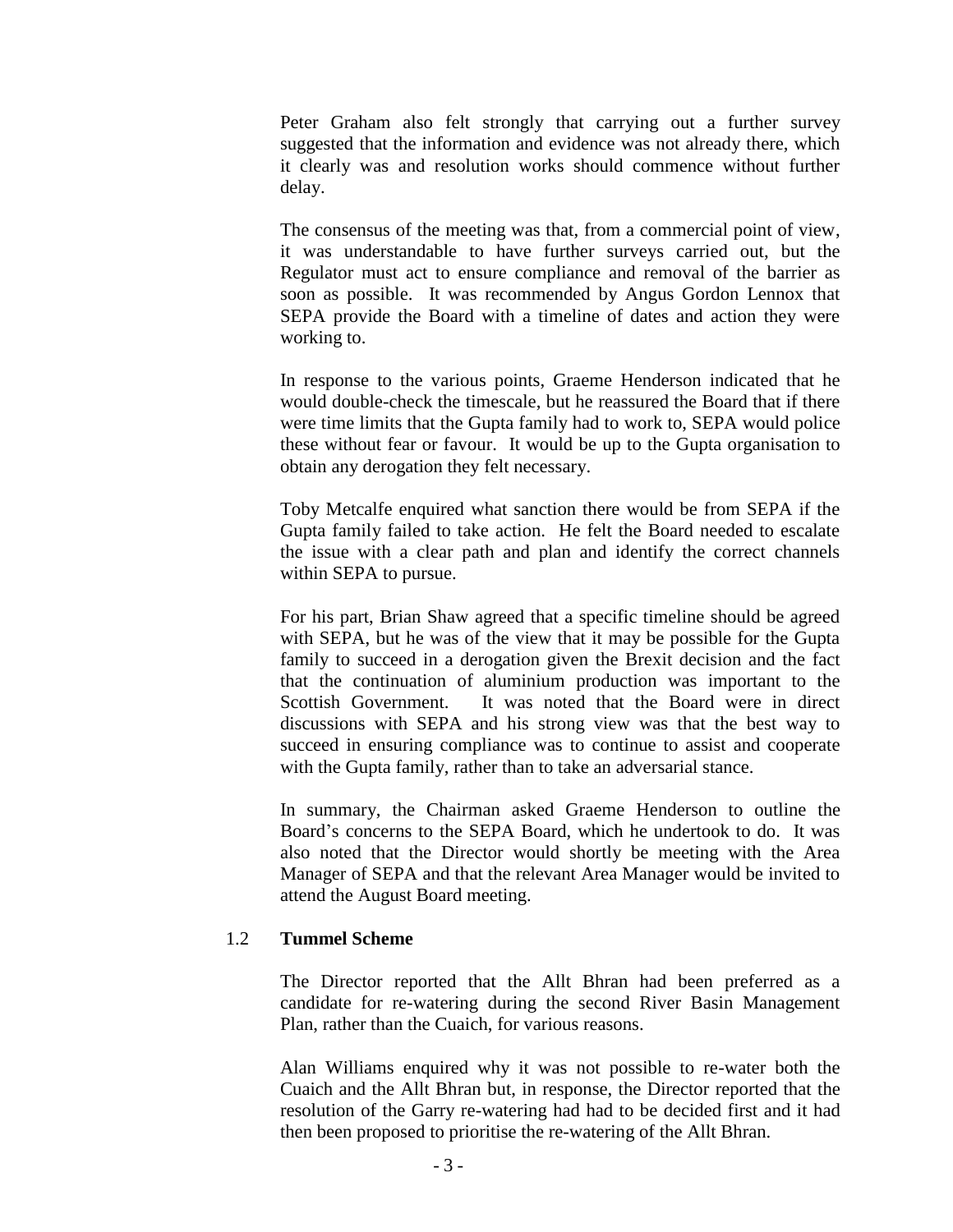Peter Graham also felt strongly that carrying out a further survey suggested that the information and evidence was not already there, which it clearly was and resolution works should commence without further delay.

The consensus of the meeting was that, from a commercial point of view, it was understandable to have further surveys carried out, but the Regulator must act to ensure compliance and removal of the barrier as soon as possible. It was recommended by Angus Gordon Lennox that SEPA provide the Board with a timeline of dates and action they were working to.

In response to the various points, Graeme Henderson indicated that he would double-check the timescale, but he reassured the Board that if there were time limits that the Gupta family had to work to, SEPA would police these without fear or favour. It would be up to the Gupta organisation to obtain any derogation they felt necessary.

Toby Metcalfe enquired what sanction there would be from SEPA if the Gupta family failed to take action. He felt the Board needed to escalate the issue with a clear path and plan and identify the correct channels within SEPA to pursue.

For his part, Brian Shaw agreed that a specific timeline should be agreed with SEPA, but he was of the view that it may be possible for the Gupta family to succeed in a derogation given the Brexit decision and the fact that the continuation of aluminium production was important to the Scottish Government. It was noted that the Board were in direct discussions with SEPA and his strong view was that the best way to succeed in ensuring compliance was to continue to assist and cooperate with the Gupta family, rather than to take an adversarial stance.

In summary, the Chairman asked Graeme Henderson to outline the Board's concerns to the SEPA Board, which he undertook to do. It was also noted that the Director would shortly be meeting with the Area Manager of SEPA and that the relevant Area Manager would be invited to attend the August Board meeting.

#### 1.2 **Tummel Scheme**

The Director reported that the Allt Bhran had been preferred as a candidate for re-watering during the second River Basin Management Plan, rather than the Cuaich, for various reasons.

Alan Williams enquired why it was not possible to re-water both the Cuaich and the Allt Bhran but, in response, the Director reported that the resolution of the Garry re-watering had had to be decided first and it had then been proposed to prioritise the re-watering of the Allt Bhran.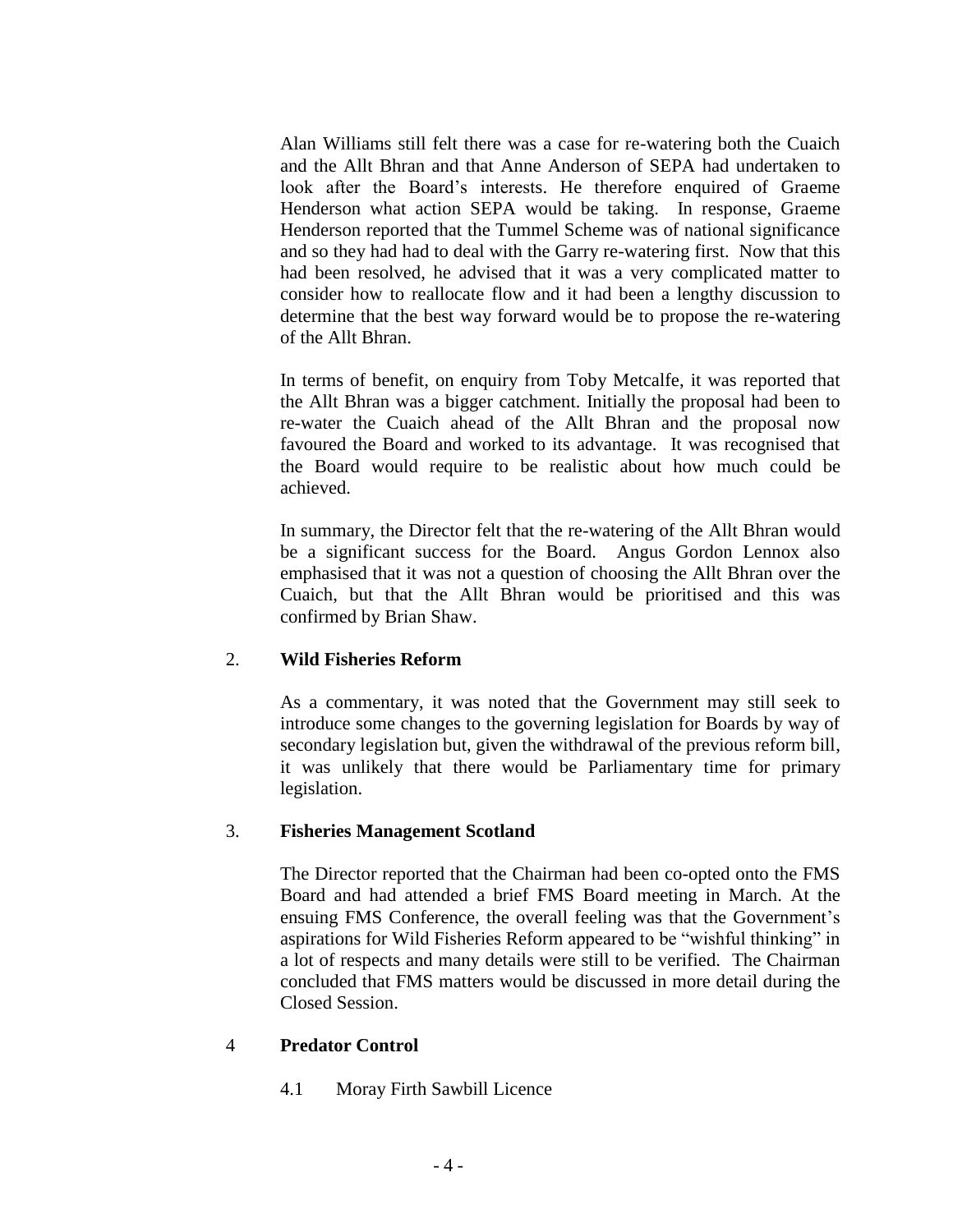Alan Williams still felt there was a case for re-watering both the Cuaich and the Allt Bhran and that Anne Anderson of SEPA had undertaken to look after the Board's interests. He therefore enquired of Graeme Henderson what action SEPA would be taking. In response, Graeme Henderson reported that the Tummel Scheme was of national significance and so they had had to deal with the Garry re-watering first. Now that this had been resolved, he advised that it was a very complicated matter to consider how to reallocate flow and it had been a lengthy discussion to determine that the best way forward would be to propose the re-watering of the Allt Bhran.

In terms of benefit, on enquiry from Toby Metcalfe, it was reported that the Allt Bhran was a bigger catchment. Initially the proposal had been to re-water the Cuaich ahead of the Allt Bhran and the proposal now favoured the Board and worked to its advantage. It was recognised that the Board would require to be realistic about how much could be achieved.

In summary, the Director felt that the re-watering of the Allt Bhran would be a significant success for the Board. Angus Gordon Lennox also emphasised that it was not a question of choosing the Allt Bhran over the Cuaich, but that the Allt Bhran would be prioritised and this was confirmed by Brian Shaw.

## 2. **Wild Fisheries Reform**

As a commentary, it was noted that the Government may still seek to introduce some changes to the governing legislation for Boards by way of secondary legislation but, given the withdrawal of the previous reform bill, it was unlikely that there would be Parliamentary time for primary legislation.

#### 3. **Fisheries Management Scotland**

The Director reported that the Chairman had been co-opted onto the FMS Board and had attended a brief FMS Board meeting in March. At the ensuing FMS Conference, the overall feeling was that the Government's aspirations for Wild Fisheries Reform appeared to be "wishful thinking" in a lot of respects and many details were still to be verified. The Chairman concluded that FMS matters would be discussed in more detail during the Closed Session.

#### 4 **Predator Control**

4.1 Moray Firth Sawbill Licence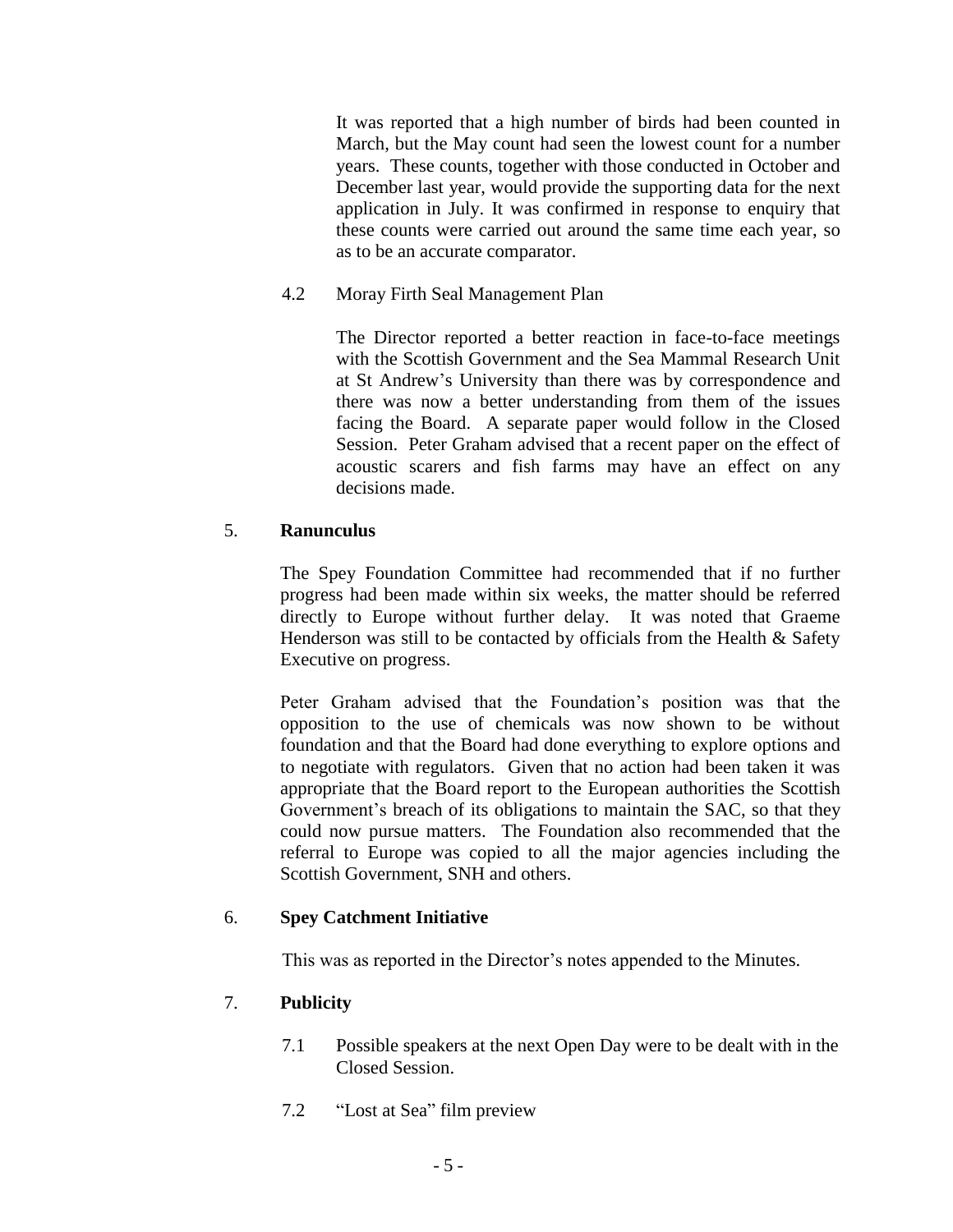It was reported that a high number of birds had been counted in March, but the May count had seen the lowest count for a number years. These counts, together with those conducted in October and December last year, would provide the supporting data for the next application in July. It was confirmed in response to enquiry that these counts were carried out around the same time each year, so as to be an accurate comparator.

## 4.2 Moray Firth Seal Management Plan

The Director reported a better reaction in face-to-face meetings with the Scottish Government and the Sea Mammal Research Unit at St Andrew's University than there was by correspondence and there was now a better understanding from them of the issues facing the Board. A separate paper would follow in the Closed Session. Peter Graham advised that a recent paper on the effect of acoustic scarers and fish farms may have an effect on any decisions made.

## 5. **Ranunculus**

The Spey Foundation Committee had recommended that if no further progress had been made within six weeks, the matter should be referred directly to Europe without further delay. It was noted that Graeme Henderson was still to be contacted by officials from the Health  $\&$  Safety Executive on progress.

Peter Graham advised that the Foundation's position was that the opposition to the use of chemicals was now shown to be without foundation and that the Board had done everything to explore options and to negotiate with regulators. Given that no action had been taken it was appropriate that the Board report to the European authorities the Scottish Government's breach of its obligations to maintain the SAC, so that they could now pursue matters. The Foundation also recommended that the referral to Europe was copied to all the major agencies including the Scottish Government, SNH and others.

## 6. **Spey Catchment Initiative**

This was as reported in the Director's notes appended to the Minutes.

## 7. **Publicity**

- 7.1 Possible speakers at the next Open Day were to be dealt with in the Closed Session.
- 7.2 "Lost at Sea" film preview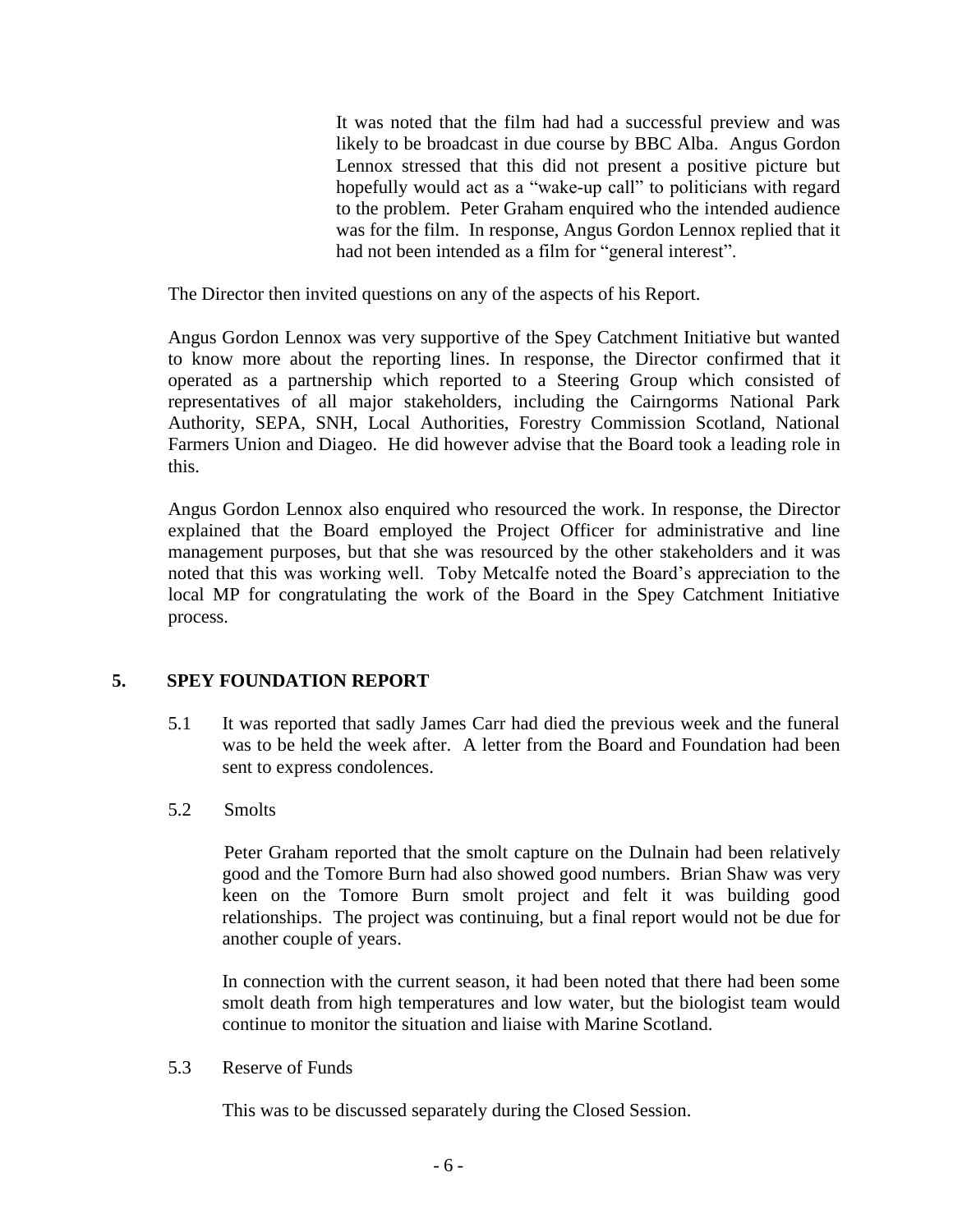It was noted that the film had had a successful preview and was likely to be broadcast in due course by BBC Alba. Angus Gordon Lennox stressed that this did not present a positive picture but hopefully would act as a "wake-up call" to politicians with regard to the problem. Peter Graham enquired who the intended audience was for the film. In response, Angus Gordon Lennox replied that it had not been intended as a film for "general interest".

The Director then invited questions on any of the aspects of his Report.

Angus Gordon Lennox was very supportive of the Spey Catchment Initiative but wanted to know more about the reporting lines. In response, the Director confirmed that it operated as a partnership which reported to a Steering Group which consisted of representatives of all major stakeholders, including the Cairngorms National Park Authority, SEPA, SNH, Local Authorities, Forestry Commission Scotland, National Farmers Union and Diageo. He did however advise that the Board took a leading role in this.

Angus Gordon Lennox also enquired who resourced the work. In response, the Director explained that the Board employed the Project Officer for administrative and line management purposes, but that she was resourced by the other stakeholders and it was noted that this was working well. Toby Metcalfe noted the Board's appreciation to the local MP for congratulating the work of the Board in the Spey Catchment Initiative process.

## **5. SPEY FOUNDATION REPORT**

- 5.1 It was reported that sadly James Carr had died the previous week and the funeral was to be held the week after. A letter from the Board and Foundation had been sent to express condolences.
- 5.2 Smolts

Peter Graham reported that the smolt capture on the Dulnain had been relatively good and the Tomore Burn had also showed good numbers. Brian Shaw was very keen on the Tomore Burn smolt project and felt it was building good relationships. The project was continuing, but a final report would not be due for another couple of years.

In connection with the current season, it had been noted that there had been some smolt death from high temperatures and low water, but the biologist team would continue to monitor the situation and liaise with Marine Scotland.

5.3 Reserve of Funds

This was to be discussed separately during the Closed Session.